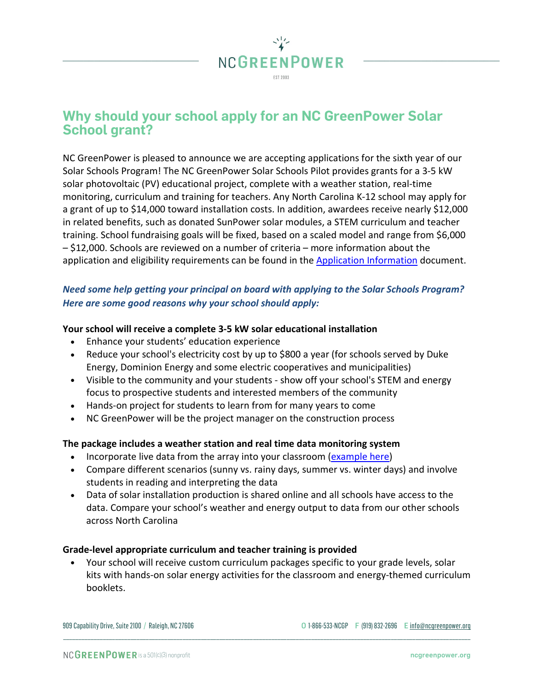

# **Why should your school apply for an NC GreenPower Solar School grant?**

NC GreenPower is pleased to announce we are accepting applications for the sixth year of our Solar Schools Program! The NC GreenPower Solar Schools Pilot provides grants for a 3-5 kW solar photovoltaic (PV) educational project, complete with a weather station, real-time monitoring, curriculum and training for teachers. Any North Carolina K-12 school may apply for a grant of up to \$14,000 toward installation costs. In addition, awardees receive nearly \$12,000 in related benefits, such as donated SunPower solar modules, a STEM curriculum and teacher training. School fundraising goals will be fixed, based on a scaled model and range from \$6,000 – \$12,000. Schools are reviewed on a number of criteria – more information about the application and eligibility requirements can be found in th[e Application Information](https://ncgp.wpengine.com/wp-content/uploads/2020/01/2020-NC-GreenPower-Solar-Schools-Application-Information.pdf) document.

# *Need some help getting your principal on board with applying to the Solar Schools Program? Here are some good reasons why your school should apply:*

## **Your school will receive a complete 3-5 kW solar educational installation**

- Enhance your students' education experience
- Reduce your school's electricity cost by up to \$800 a year (for schools served by Duke Energy, Dominion Energy and some electric cooperatives and municipalities)
- Visible to the community and your students show off your school's STEM and energy focus to prospective students and interested members of the community
- Hands-on project for students to learn from for many years to come
- NC GreenPower will be the project manager on the construction process

#### **The package includes a weather station and real time data monitoring system**

- Incorporate live data from the array into your classroom [\(example here\)](https://www.solarweb.com/Home/GuestLogOn?pvSystemid=3fb7c7e0-1f8d-4814-81b7-a3b43a91ca6f)
- Compare different scenarios (sunny vs. rainy days, summer vs. winter days) and involve students in reading and interpreting the data
- Data of solar installation production is shared online and all schools have access to the data. Compare your school's weather and energy output to data from our other schools across North Carolina

#### **Grade-level appropriate curriculum and teacher training is provided**

• Your school will receive custom curriculum packages specific to your grade levels, solar kits with hands-on solar energy activities for the classroom and energy-themed curriculum booklets.

\_\_\_\_\_\_\_\_\_\_\_\_\_\_\_\_\_\_\_\_\_\_\_\_\_\_\_\_\_\_\_\_\_\_\_\_\_\_\_\_\_\_\_\_\_\_\_\_\_\_\_\_\_\_\_\_\_\_\_\_\_\_\_\_\_\_\_\_\_\_\_\_\_\_\_\_\_\_\_\_\_\_\_\_\_\_\_\_\_\_\_\_\_\_\_\_\_\_\_\_\_\_\_\_\_\_\_\_\_\_\_\_\_\_\_\_\_\_\_\_\_\_\_\_\_\_\_\_\_\_\_\_\_